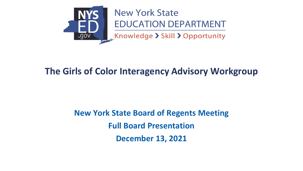

# **New York State EDUCATION DEPARTMENT**

Knowledge > Skill > Opportunity

## **The Girls of Color Interagency Advisory Workgroup**

# **New York State Board of Regents Meeting Full Board Presentation December 13, 2021**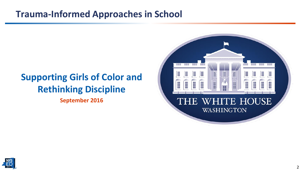### **Trauma-Informed Approaches in School**

# **Supporting Girls of Color and Rethinking Discipline**

**September 2016**



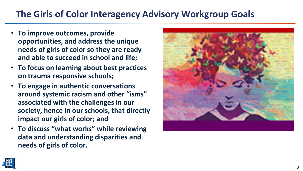# **The Girls of Color Interagency Advisory Workgroup Goals**

- **To improve outcomes, provide opportunities, and address the unique needs of girls of color so they are ready and able to succeed in school and life;**
- **To focus on learning about best practices on trauma responsive schools;**
- **To engage in authentic conversations around systemic racism and other "isms" associated with the challenges in our society, hence in our schools, that directly impact our girls of color; and**
- **To discuss "what works" while reviewing data and understanding disparities and needs of girls of color.**



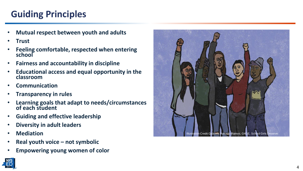# **Guiding Principles**

- **Mutual respect between youth and adults**
- **Trust**
- **Feeling comfortable, respected when entering school**
- **Fairness and accountability in discipline**
- **Educational access and equal opportunity in the classroom**
- **Communication**
- **Transparency in rules**
- **Learning goals that adapt to needs/circumstances of each student**
- **Guiding and effective leadership**
- **Diversity in adult leaders**
- **Mediation**
- **Real youth voice – not symbolic**
- **Empowering young women of color**



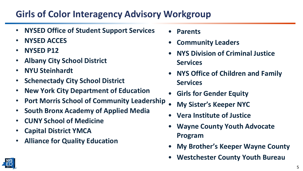## **Girls of Color Interagency Advisory Workgroup**

- **NYSED Office of Student Support Services**
- **NYSED ACCES**
- **NYSED P12**
- **Albany City School District**
- **NYU Steinhardt**
- **Schenectady City School District**
- **New York City Department of Education**
- **Port Morris School of Community Leadership**
- **South Bronx Academy of Applied Media**
- **CUNY School of Medicine**
- **Capital District YMCA**
- **Alliance for Quality Education**
- **Parents**
- **Community Leaders**
- **NYS Division of Criminal Justice Services**
- **NYS Office of Children and Family Services**
- **Girls for Gender Equity**
- **My Sister's Keeper NYC**
- **Vera Institute of Justice**
- **Wayne County Youth Advocate Program**
- **My Brother's Keeper Wayne County**
- **Westchester County Youth Bureau**

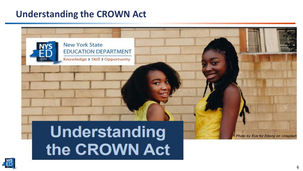### **Understanding the CROWN Act**



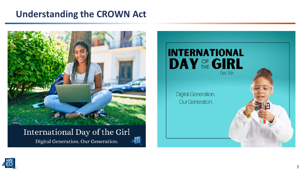### **Understanding the CROWN Act**



### International Day of the Girl

Digital Generation. Our Generation.





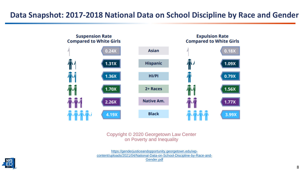#### **Data Snapshot: 2017-2018 National Data on School Discipline by Race and Gender**



Copyright © 2020 Georgetown Law Center on Poverty and Inequality

https://genderjusticeandopportunity.georgetown.edu/wp[content/uploads/2021/04/National-Data-on-School-Discipline-by-Race-and-](https://genderjusticeandopportunity.georgetown.edu/wp-content/uploads/2021/04/National-Data-on-School-Discipline-by-Race-and-Gender.pdf)Gender.pdf

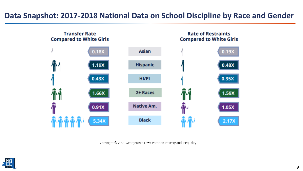#### **Data Snapshot: 2017-2018 National Data on School Discipline by Race and Gender**



Copyright © 2020 Georgetown Law Center on Poverty and Inequality